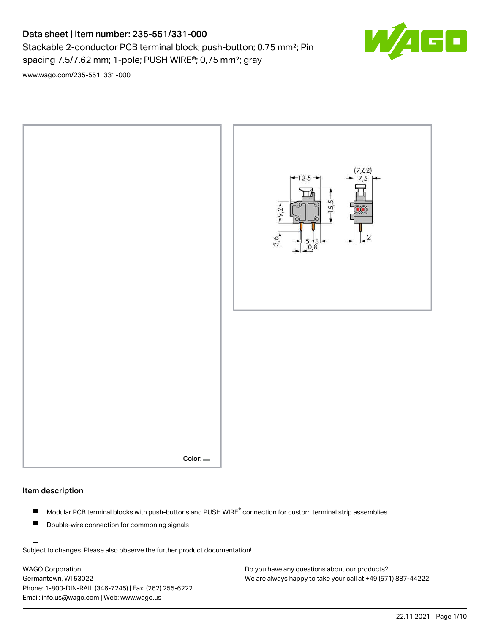# Data sheet | Item number: 235-551/331-000

Stackable 2-conductor PCB terminal block; push-button; 0.75 mm<sup>2</sup>; Pin

spacing 7.5/7.62 mm; 1-pole; PUSH WIRE®; 0,75 mm²; gray

[www.wago.com/235-551\\_331-000](http://www.wago.com/235-551_331-000)





## Item description

- Modular PCB terminal blocks with push-buttons and PUSH WIRE<sup>®</sup> connection for custom terminal strip assemblies П
- Double-wire connection for commoning signals П

Subject to changes. Please also observe the further product documentation!

WAGO Corporation Germantown, WI 53022 Phone: 1-800-DIN-RAIL (346-7245) | Fax: (262) 255-6222 Email: info.us@wago.com | Web: www.wago.us

Do you have any questions about our products? We are always happy to take your call at +49 (571) 887-44222. F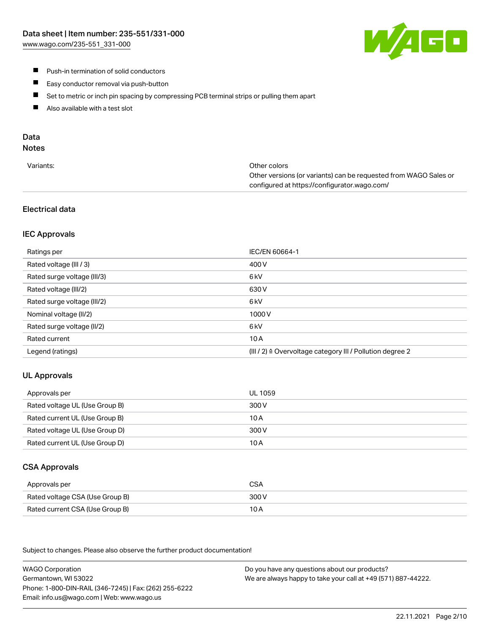W/1EE

- **Push-in termination of solid conductors**
- $\blacksquare$ Easy conductor removal via push-button
- $\blacksquare$ Set to metric or inch pin spacing by compressing PCB terminal strips or pulling them apart
- $\blacksquare$ Also available with a test slot

# Data

# **Notes**

| Variants: | Other colors                                                     |
|-----------|------------------------------------------------------------------|
|           | Other versions (or variants) can be requested from WAGO Sales or |
|           | configured at https://configurator.wago.com/                     |
|           |                                                                  |

### Electrical data

#### IEC Approvals

| Ratings per                 | IEC/EN 60664-1                                                        |
|-----------------------------|-----------------------------------------------------------------------|
| Rated voltage (III / 3)     | 400 V                                                                 |
| Rated surge voltage (III/3) | 6 <sub>k</sub> V                                                      |
| Rated voltage (III/2)       | 630 V                                                                 |
| Rated surge voltage (III/2) | 6 <sub>k</sub> V                                                      |
| Nominal voltage (II/2)      | 1000V                                                                 |
| Rated surge voltage (II/2)  | 6 <sub>k</sub> V                                                      |
| Rated current               | 10A                                                                   |
| Legend (ratings)            | $(III / 2)$ $\triangle$ Overvoltage category III / Pollution degree 2 |

### UL Approvals

| Approvals per                  | UL 1059 |
|--------------------------------|---------|
| Rated voltage UL (Use Group B) | 300 V   |
| Rated current UL (Use Group B) | 10 A    |
| Rated voltage UL (Use Group D) | 300 V   |
| Rated current UL (Use Group D) | 10 A    |

### CSA Approvals

| Approvals per                   | <b>CSA</b> |
|---------------------------------|------------|
| Rated voltage CSA (Use Group B) | 300 V      |
| Rated current CSA (Use Group B) | 10 A       |

Subject to changes. Please also observe the further product documentation!

WAGO Corporation Germantown, WI 53022 Phone: 1-800-DIN-RAIL (346-7245) | Fax: (262) 255-6222 Email: info.us@wago.com | Web: www.wago.us Do you have any questions about our products? We are always happy to take your call at +49 (571) 887-44222.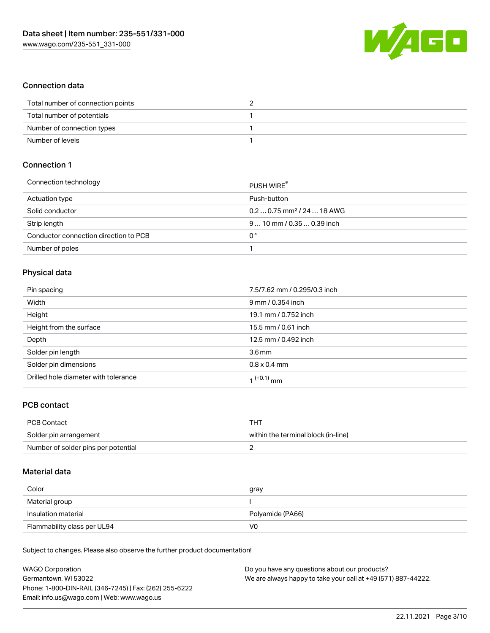

### Connection data

| Total number of connection points |  |
|-----------------------------------|--|
| Total number of potentials        |  |
| Number of connection types        |  |
| Number of levels                  |  |

# Connection 1

| Connection technology                 | PUSH WIRE <sup>®</sup>                 |
|---------------------------------------|----------------------------------------|
| Actuation type                        | Push-button                            |
| Solid conductor                       | $0.20.75$ mm <sup>2</sup> / 24  18 AWG |
| Strip length                          | $910$ mm / 0.35  0.39 inch             |
| Conductor connection direction to PCB | 0°                                     |
| Number of poles                       |                                        |

# Physical data

| Pin spacing                          | 7.5/7.62 mm / 0.295/0.3 inch |
|--------------------------------------|------------------------------|
| Width                                | 9 mm / 0.354 inch            |
| Height                               | 19.1 mm / 0.752 inch         |
| Height from the surface              | 15.5 mm / 0.61 inch          |
| Depth                                | 12.5 mm / 0.492 inch         |
| Solder pin length                    | 3.6 <sub>mm</sub>            |
| Solder pin dimensions                | $0.8 \times 0.4$ mm          |
| Drilled hole diameter with tolerance | 1 <sup>(+0.1)</sup> mm       |

# PCB contact

| PCB Contact                         | THT                                 |
|-------------------------------------|-------------------------------------|
| Solder pin arrangement              | within the terminal block (in-line) |
| Number of solder pins per potential |                                     |

# Material data

| Color                       | gray             |
|-----------------------------|------------------|
| Material group              |                  |
| Insulation material         | Polyamide (PA66) |
| Flammability class per UL94 | V0               |

Subject to changes. Please also observe the further product documentation!

| <b>WAGO Corporation</b>                                | Do you have any questions about our products?                 |
|--------------------------------------------------------|---------------------------------------------------------------|
| Germantown, WI 53022                                   | We are always happy to take your call at +49 (571) 887-44222. |
| Phone: 1-800-DIN-RAIL (346-7245)   Fax: (262) 255-6222 |                                                               |
| Email: info.us@wago.com   Web: www.wago.us             |                                                               |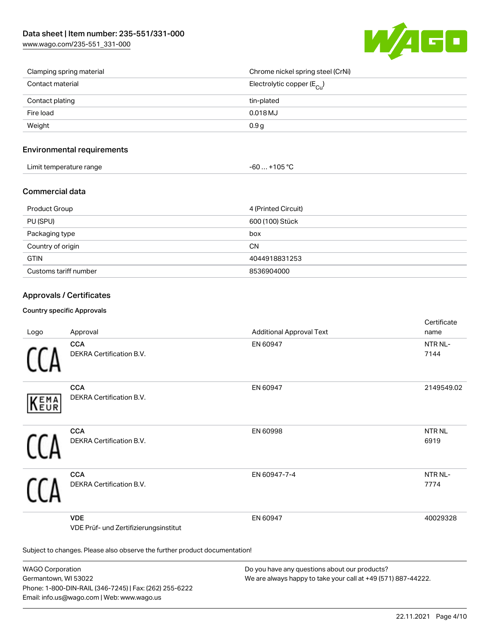[www.wago.com/235-551\\_331-000](http://www.wago.com/235-551_331-000)



| Clamping spring material | Chrome nickel spring steel (CrNi)     |
|--------------------------|---------------------------------------|
| Contact material         | Electrolytic copper $(E_{\text{Cl}})$ |
| Contact plating          | tin-plated                            |
| Fire load                | $0.018$ MJ                            |
| Weight                   | 0.9 <sub>g</sub>                      |

### Environmental requirements

| Limit temperature range | $-60+105 °C$ |
|-------------------------|--------------|
|-------------------------|--------------|

## Commercial data

| Product Group         | 4 (Printed Circuit) |
|-----------------------|---------------------|
| PU (SPU)              | 600 (100) Stück     |
| Packaging type        | box                 |
| Country of origin     | <b>CN</b>           |
| <b>GTIN</b>           | 4044918831253       |
| Customs tariff number | 8536904000          |

### Approvals / Certificates

#### Country specific Approvals

| Logo                                                                       | Approval                                            | <b>Additional Approval Text</b> | Certificate<br>name         |
|----------------------------------------------------------------------------|-----------------------------------------------------|---------------------------------|-----------------------------|
|                                                                            | <b>CCA</b><br>DEKRA Certification B.V.              | EN 60947                        | NTR NL-<br>7144             |
| EMA<br>EUR                                                                 | <b>CCA</b><br>DEKRA Certification B.V.              | EN 60947                        | 2149549.02                  |
|                                                                            | <b>CCA</b><br>DEKRA Certification B.V.              | EN 60998                        | <b>NTRNL</b><br>6919        |
|                                                                            | <b>CCA</b><br>DEKRA Certification B.V.              | EN 60947-7-4                    | NTR <sub>NL</sub> -<br>7774 |
|                                                                            | <b>VDE</b><br>VDE Prüf- und Zertifizierungsinstitut | EN 60947                        | 40029328                    |
| Subject to changes. Please also observe the further product documentation! |                                                     |                                 |                             |

WAGO Corporation Germantown, WI 53022 Phone: 1-800-DIN-RAIL (346-7245) | Fax: (262) 255-6222 Email: info.us@wago.com | Web: www.wago.us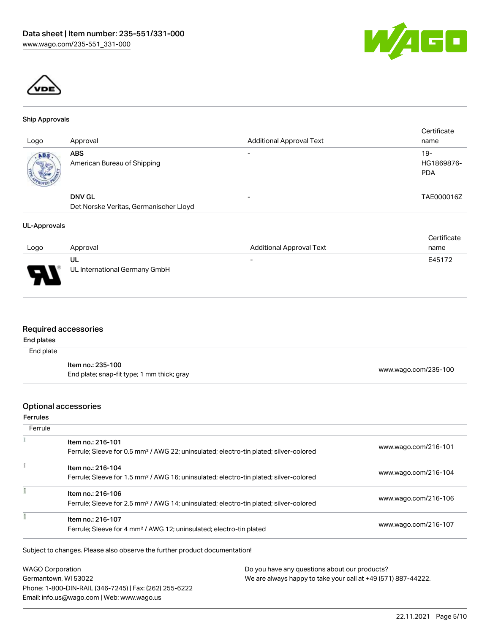



#### Ship Approvals

| Approval                                  | <b>Additional Approval Text</b> | Certificate<br>name               |
|-------------------------------------------|---------------------------------|-----------------------------------|
| <b>ABS</b><br>American Bureau of Shipping | $\overline{\phantom{0}}$        | $19-$<br>HG1869876-<br><b>PDA</b> |
| <b>DNV GL</b>                             |                                 | TAE000016Z                        |
| Det Norske Veritas, Germanischer Lloyd    |                                 |                                   |
|                                           |                                 |                                   |

#### UL-Approvals

| Logo                               | Approval                            | <b>Additional Approval Text</b> | Certificate<br>name |
|------------------------------------|-------------------------------------|---------------------------------|---------------------|
|                                    |                                     |                                 |                     |
| $\Box$<br>$\overline{\phantom{a}}$ | UL<br>UL International Germany GmbH | $\overline{\phantom{0}}$        | E45172              |

### Required accessories

#### End plates

| .<br>End plate |                                                                 |                      |
|----------------|-----------------------------------------------------------------|----------------------|
|                | ltem no.: 235-100<br>End plate; snap-fit type; 1 mm thick; gray | www.wago.com/235-100 |

#### Optional accessories

Ferrules

| Ferrule                                                                  |                                                                                                                        |                      |
|--------------------------------------------------------------------------|------------------------------------------------------------------------------------------------------------------------|----------------------|
|                                                                          | Item no.: 216-101<br>Ferrule; Sleeve for 0.5 mm <sup>2</sup> / AWG 22; uninsulated; electro-tin plated; silver-colored | www.wago.com/216-101 |
|                                                                          | Item no.: 216-104<br>Ferrule; Sleeve for 1.5 mm <sup>2</sup> / AWG 16; uninsulated; electro-tin plated; silver-colored | www.wago.com/216-104 |
|                                                                          | Item no.: 216-106<br>Ferrule; Sleeve for 2.5 mm <sup>2</sup> / AWG 14; uninsulated; electro-tin plated; silver-colored | www.wago.com/216-106 |
|                                                                          | Item no.: 216-107<br>Ferrule; Sleeve for 4 mm <sup>2</sup> / AWG 12; uninsulated; electro-tin plated                   | www.wago.com/216-107 |
|                                                                          | Subject to changes. Please also observe the further product documentation!                                             |                      |
| Do you have any questions about our products?<br><b>WAGO Corporation</b> |                                                                                                                        |                      |

Germantown, WI 53022 Phone: 1-800-DIN-RAIL (346-7245) | Fax: (262) 255-6222 Email: info.us@wago.com | Web: www.wago.us

We are always happy to take your call at +49 (571) 887-44222.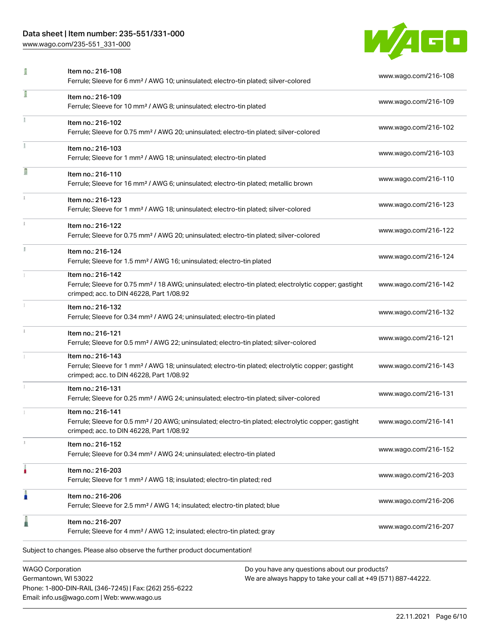# Data sheet | Item number: 235-551/331-000

[www.wago.com/235-551\\_331-000](http://www.wago.com/235-551_331-000)



|   | <b>WAGO Corporation</b><br>Do you have any questions about our products?                                                                                                           |                      |
|---|------------------------------------------------------------------------------------------------------------------------------------------------------------------------------------|----------------------|
|   | Subject to changes. Please also observe the further product documentation!                                                                                                         |                      |
|   | Item no.: 216-207<br>Ferrule; Sleeve for 4 mm <sup>2</sup> / AWG 12; insulated; electro-tin plated; gray                                                                           | www.wago.com/216-207 |
| I | Item no.: 216-206<br>Ferrule; Sleeve for 2.5 mm <sup>2</sup> / AWG 14; insulated; electro-tin plated; blue                                                                         | www.wago.com/216-206 |
|   | Item no.: 216-203<br>Ferrule; Sleeve for 1 mm <sup>2</sup> / AWG 18; insulated; electro-tin plated; red                                                                            | www.wago.com/216-203 |
|   | Item no.: 216-152<br>Ferrule; Sleeve for 0.34 mm <sup>2</sup> / AWG 24; uninsulated; electro-tin plated                                                                            | www.wago.com/216-152 |
|   | Item no.: 216-141<br>Ferrule; Sleeve for 0.5 mm <sup>2</sup> / 20 AWG; uninsulated; electro-tin plated; electrolytic copper; gastight<br>crimped; acc. to DIN 46228, Part 1/08.92  | www.wago.com/216-141 |
|   | Item no.: 216-131<br>Ferrule; Sleeve for 0.25 mm <sup>2</sup> / AWG 24; uninsulated; electro-tin plated; silver-colored                                                            | www.wago.com/216-131 |
|   | Item no.: 216-143<br>Ferrule; Sleeve for 1 mm <sup>2</sup> / AWG 18; uninsulated; electro-tin plated; electrolytic copper; gastight<br>crimped; acc. to DIN 46228, Part 1/08.92    | www.wago.com/216-143 |
|   | Item no.: 216-121<br>Ferrule; Sleeve for 0.5 mm <sup>2</sup> / AWG 22; uninsulated; electro-tin plated; silver-colored                                                             | www.wago.com/216-121 |
|   | Item no.: 216-132<br>Ferrule; Sleeve for 0.34 mm <sup>2</sup> / AWG 24; uninsulated; electro-tin plated                                                                            | www.wago.com/216-132 |
|   | Item no.: 216-142<br>Ferrule; Sleeve for 0.75 mm <sup>2</sup> / 18 AWG; uninsulated; electro-tin plated; electrolytic copper; gastight<br>crimped; acc. to DIN 46228, Part 1/08.92 | www.wago.com/216-142 |
|   | Item no.: 216-124<br>Ferrule; Sleeve for 1.5 mm <sup>2</sup> / AWG 16; uninsulated; electro-tin plated                                                                             | www.wago.com/216-124 |
|   | Item no.: 216-122<br>Ferrule; Sleeve for 0.75 mm <sup>2</sup> / AWG 20; uninsulated; electro-tin plated; silver-colored                                                            | www.wago.com/216-122 |
|   | Item no.: 216-123<br>Ferrule; Sleeve for 1 mm <sup>2</sup> / AWG 18; uninsulated; electro-tin plated; silver-colored                                                               | www.wago.com/216-123 |
| Ī | Item no.: 216-110<br>Ferrule; Sleeve for 16 mm <sup>2</sup> / AWG 6; uninsulated; electro-tin plated; metallic brown                                                               | www.wago.com/216-110 |
|   | Item no.: 216-103<br>Ferrule; Sleeve for 1 mm <sup>2</sup> / AWG 18; uninsulated; electro-tin plated                                                                               | www.wago.com/216-103 |
|   | Item no.: 216-102<br>Ferrule; Sleeve for 0.75 mm <sup>2</sup> / AWG 20; uninsulated; electro-tin plated; silver-colored                                                            | www.wago.com/216-102 |
| ſ | Item no.: 216-109<br>Ferrule; Sleeve for 10 mm <sup>2</sup> / AWG 8; uninsulated; electro-tin plated                                                                               | www.wago.com/216-109 |
|   | Item no.: 216-108<br>Ferrule; Sleeve for 6 mm <sup>2</sup> / AWG 10; uninsulated; electro-tin plated; silver-colored                                                               | www.wago.com/216-108 |

Germantown, WI 53022 Phone: 1-800-DIN-RAIL (346-7245) | Fax: (262) 255-6222 Email: info.us@wago.com | Web: www.wago.us

We are always happy to take your call at +49 (571) 887-44222.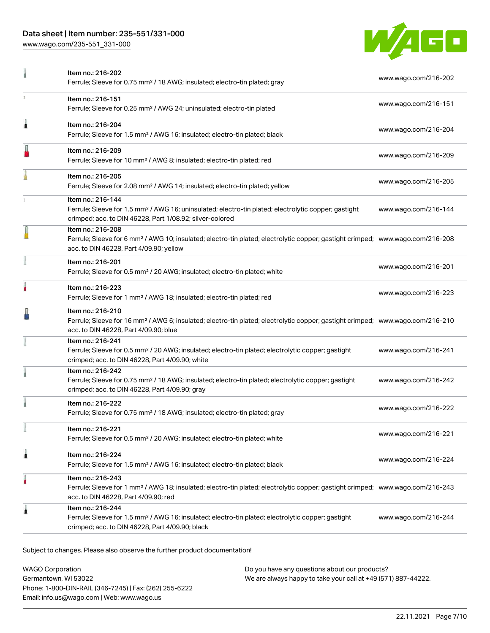# Data sheet | Item number: 235-551/331-000

[www.wago.com/235-551\\_331-000](http://www.wago.com/235-551_331-000)



|   | Item no.: 216-202<br>Ferrule; Sleeve for 0.75 mm <sup>2</sup> / 18 AWG; insulated; electro-tin plated; gray                                                                                                | www.wago.com/216-202 |
|---|------------------------------------------------------------------------------------------------------------------------------------------------------------------------------------------------------------|----------------------|
| x | Item no.: 216-151<br>Ferrule; Sleeve for 0.25 mm <sup>2</sup> / AWG 24; uninsulated; electro-tin plated                                                                                                    | www.wago.com/216-151 |
| Â | Item no.: 216-204<br>Ferrule; Sleeve for 1.5 mm <sup>2</sup> / AWG 16; insulated; electro-tin plated; black                                                                                                | www.wago.com/216-204 |
|   | Item no.: 216-209<br>Ferrule; Sleeve for 10 mm <sup>2</sup> / AWG 8; insulated; electro-tin plated; red                                                                                                    | www.wago.com/216-209 |
|   | Item no.: 216-205<br>Ferrule; Sleeve for 2.08 mm <sup>2</sup> / AWG 14; insulated; electro-tin plated; yellow                                                                                              | www.wago.com/216-205 |
|   | Item no.: 216-144<br>Ferrule; Sleeve for 1.5 mm <sup>2</sup> / AWG 16; uninsulated; electro-tin plated; electrolytic copper; gastight<br>crimped; acc. to DIN 46228, Part 1/08.92; silver-colored          | www.wago.com/216-144 |
|   | Item no.: 216-208<br>Ferrule; Sleeve for 6 mm <sup>2</sup> / AWG 10; insulated; electro-tin plated; electrolytic copper; gastight crimped; www.wago.com/216-208<br>acc. to DIN 46228, Part 4/09.90; yellow |                      |
|   | Item no.: 216-201<br>Ferrule; Sleeve for 0.5 mm <sup>2</sup> / 20 AWG; insulated; electro-tin plated; white                                                                                                | www.wago.com/216-201 |
| ٠ | Item no.: 216-223<br>Ferrule; Sleeve for 1 mm <sup>2</sup> / AWG 18; insulated; electro-tin plated; red                                                                                                    | www.wago.com/216-223 |
|   | Item no.: 216-210<br>Ferrule; Sleeve for 16 mm <sup>2</sup> / AWG 6; insulated; electro-tin plated; electrolytic copper; gastight crimped; www.wago.com/216-210<br>acc. to DIN 46228, Part 4/09.90; blue   |                      |
|   | Item no.: 216-241<br>Ferrule; Sleeve for 0.5 mm <sup>2</sup> / 20 AWG; insulated; electro-tin plated; electrolytic copper; gastight<br>crimped; acc. to DIN 46228, Part 4/09.90; white                     | www.wago.com/216-241 |
|   | Item no.: 216-242<br>Ferrule; Sleeve for 0.75 mm <sup>2</sup> / 18 AWG; insulated; electro-tin plated; electrolytic copper; gastight<br>crimped; acc. to DIN 46228, Part 4/09.90; gray                     | www.wago.com/216-242 |
|   | Item no.: 216-222<br>Ferrule; Sleeve for 0.75 mm <sup>2</sup> / 18 AWG; insulated; electro-tin plated; gray                                                                                                | www.wago.com/216-222 |
|   | Item no.: 216-221<br>Ferrule; Sleeve for 0.5 mm <sup>2</sup> / 20 AWG; insulated; electro-tin plated; white                                                                                                | www.wago.com/216-221 |
| 1 | Item no.: 216-224<br>Ferrule; Sleeve for 1.5 mm <sup>2</sup> / AWG 16; insulated; electro-tin plated; black                                                                                                | www.wago.com/216-224 |
|   | Item no.: 216-243<br>Ferrule; Sleeve for 1 mm <sup>2</sup> / AWG 18; insulated; electro-tin plated; electrolytic copper; gastight crimped; www.wago.com/216-243<br>acc. to DIN 46228, Part 4/09.90; red    |                      |
| 1 | Item no.: 216-244<br>Ferrule; Sleeve for 1.5 mm <sup>2</sup> / AWG 16; insulated; electro-tin plated; electrolytic copper; gastight<br>crimped; acc. to DIN 46228, Part 4/09.90; black                     | www.wago.com/216-244 |
|   |                                                                                                                                                                                                            |                      |

Subject to changes. Please also observe the further product documentation!

WAGO Corporation Germantown, WI 53022 Phone: 1-800-DIN-RAIL (346-7245) | Fax: (262) 255-6222 Email: info.us@wago.com | Web: www.wago.us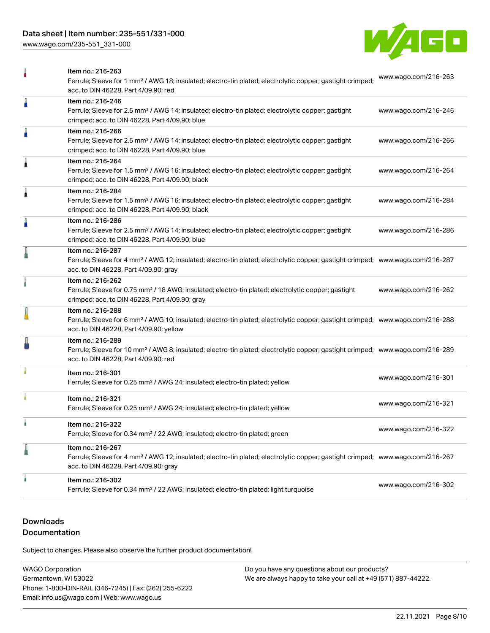[www.wago.com/235-551\\_331-000](http://www.wago.com/235-551_331-000)



|   | Item no.: 216-263<br>Ferrule; Sleeve for 1 mm <sup>2</sup> / AWG 18; insulated; electro-tin plated; electrolytic copper; gastight crimped;<br>acc. to DIN 46228. Part 4/09.90: red                         | www.wago.com/216-263 |
|---|------------------------------------------------------------------------------------------------------------------------------------------------------------------------------------------------------------|----------------------|
| ñ | Item no.: 216-246<br>Ferrule; Sleeve for 2.5 mm <sup>2</sup> / AWG 14; insulated; electro-tin plated; electrolytic copper; gastight<br>crimped; acc. to DIN 46228, Part 4/09.90; blue                      | www.wago.com/216-246 |
| A | Item no.: 216-266<br>Ferrule; Sleeve for 2.5 mm <sup>2</sup> / AWG 14; insulated; electro-tin plated; electrolytic copper; gastight<br>crimped; acc. to DIN 46228, Part 4/09.90; blue                      | www.wago.com/216-266 |
| 1 | Item no.: 216-264<br>Ferrule; Sleeve for 1.5 mm <sup>2</sup> / AWG 16; insulated; electro-tin plated; electrolytic copper; gastight<br>crimped; acc. to DIN 46228, Part 4/09.90; black                     | www.wago.com/216-264 |
| 1 | Item no.: 216-284<br>Ferrule; Sleeve for 1.5 mm <sup>2</sup> / AWG 16; insulated; electro-tin plated; electrolytic copper; gastight<br>crimped; acc. to DIN 46228, Part 4/09.90; black                     | www.wago.com/216-284 |
| A | Item no.: 216-286<br>Ferrule; Sleeve for 2.5 mm <sup>2</sup> / AWG 14; insulated; electro-tin plated; electrolytic copper; gastight<br>crimped; acc. to DIN 46228, Part 4/09.90; blue                      | www.wago.com/216-286 |
|   | Item no.: 216-287<br>Ferrule; Sleeve for 4 mm <sup>2</sup> / AWG 12; insulated; electro-tin plated; electrolytic copper; gastight crimped; www.wago.com/216-287<br>acc. to DIN 46228, Part 4/09.90; gray   |                      |
|   | Item no.: 216-262<br>Ferrule; Sleeve for 0.75 mm <sup>2</sup> / 18 AWG; insulated; electro-tin plated; electrolytic copper; gastight<br>crimped; acc. to DIN 46228, Part 4/09.90; gray                     | www.wago.com/216-262 |
|   | Item no.: 216-288<br>Ferrule; Sleeve for 6 mm <sup>2</sup> / AWG 10; insulated; electro-tin plated; electrolytic copper; gastight crimped; www.wago.com/216-288<br>acc. to DIN 46228, Part 4/09.90; yellow |                      |
| L | Item no.: 216-289<br>Ferrule; Sleeve for 10 mm <sup>2</sup> / AWG 8; insulated; electro-tin plated; electrolytic copper; gastight crimped; www.wago.com/216-289<br>acc. to DIN 46228, Part 4/09.90; red    |                      |
|   | Item no.: 216-301<br>Ferrule; Sleeve for 0.25 mm <sup>2</sup> / AWG 24; insulated; electro-tin plated; yellow                                                                                              | www.wago.com/216-301 |
|   | Item no.: 216-321<br>Ferrule; Sleeve for 0.25 mm <sup>2</sup> / AWG 24; insulated; electro-tin plated; yellow                                                                                              | www.wago.com/216-321 |
|   | ltem no.: 216-322<br>Ferrule; Sleeve for 0.34 mm <sup>2</sup> / 22 AWG; insulated; electro-tin plated; green                                                                                               | www.wago.com/216-322 |
|   | Item no.: 216-267<br>Ferrule; Sleeve for 4 mm <sup>2</sup> / AWG 12; insulated; electro-tin plated; electrolytic copper; gastight crimped; www.wago.com/216-267<br>acc. to DIN 46228, Part 4/09.90; gray   |                      |
|   | Item no.: 216-302<br>Ferrule; Sleeve for 0.34 mm <sup>2</sup> / 22 AWG; insulated; electro-tin plated; light turquoise                                                                                     | www.wago.com/216-302 |

# **Downloads**

# Documentation

Subject to changes. Please also observe the further product documentation!

WAGO Corporation Germantown, WI 53022 Phone: 1-800-DIN-RAIL (346-7245) | Fax: (262) 255-6222 Email: info.us@wago.com | Web: www.wago.us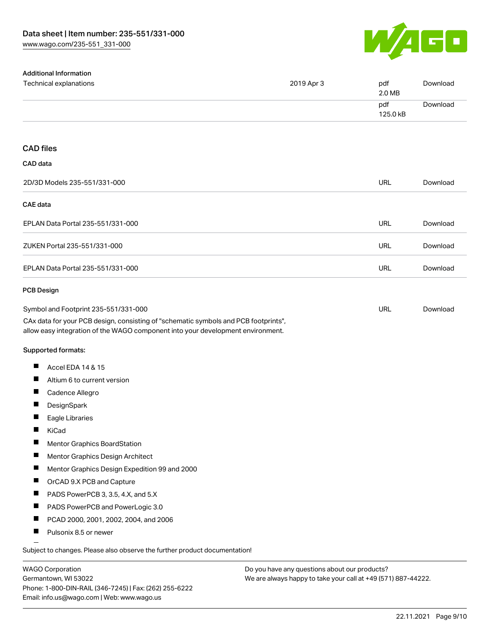

| <b>Additional Information</b>                                                                                                                                          |            |                 |          |
|------------------------------------------------------------------------------------------------------------------------------------------------------------------------|------------|-----------------|----------|
| Technical explanations                                                                                                                                                 | 2019 Apr 3 | pdf<br>2.0 MB   | Download |
|                                                                                                                                                                        |            | pdf<br>125.0 kB | Download |
|                                                                                                                                                                        |            |                 |          |
| <b>CAD files</b>                                                                                                                                                       |            |                 |          |
| CAD data                                                                                                                                                               |            |                 |          |
| 2D/3D Models 235-551/331-000                                                                                                                                           |            | URL             | Download |
| <b>CAE</b> data                                                                                                                                                        |            |                 |          |
| EPLAN Data Portal 235-551/331-000                                                                                                                                      |            | URL             | Download |
| ZUKEN Portal 235-551/331-000                                                                                                                                           |            | <b>URL</b>      | Download |
| EPLAN Data Portal 235-551/331-000                                                                                                                                      |            | <b>URL</b>      | Download |
| PCB Design                                                                                                                                                             |            |                 |          |
| Symbol and Footprint 235-551/331-000                                                                                                                                   |            | URL             | Download |
| CAx data for your PCB design, consisting of "schematic symbols and PCB footprints",<br>allow easy integration of the WAGO component into your development environment. |            |                 |          |
| Supported formats:                                                                                                                                                     |            |                 |          |
| ш<br>Accel EDA 14 & 15                                                                                                                                                 |            |                 |          |
| Ш<br>Altium 6 to current version                                                                                                                                       |            |                 |          |
| $\blacksquare$<br>Cadence Allegro                                                                                                                                      |            |                 |          |
| DesignSpark                                                                                                                                                            |            |                 |          |
| Eagle Libraries                                                                                                                                                        |            |                 |          |
| ш<br>KiCad                                                                                                                                                             |            |                 |          |
| Mentor Graphics BoardStation                                                                                                                                           |            |                 |          |
| Mentor Graphics Design Architect                                                                                                                                       |            |                 |          |
| ш<br>Mentor Graphics Design Expedition 99 and 2000                                                                                                                     |            |                 |          |
| п<br>OrCAD 9.X PCB and Capture                                                                                                                                         |            |                 |          |
| $\blacksquare$<br>PADS PowerPCB 3, 3.5, 4.X, and 5.X                                                                                                                   |            |                 |          |
| ш<br>PADS PowerPCB and PowerLogic 3.0                                                                                                                                  |            |                 |          |
| Ш<br>PCAD 2000, 2001, 2002, 2004, and 2006                                                                                                                             |            |                 |          |
| $\blacksquare$<br>Pulsonix 8.5 or newer                                                                                                                                |            |                 |          |
| Subject to changes. Please also observe the further product documentation!                                                                                             |            |                 |          |

WAGO Corporation Germantown, WI 53022 Phone: 1-800-DIN-RAIL (346-7245) | Fax: (262) 255-6222 Email: info.us@wago.com | Web: www.wago.us